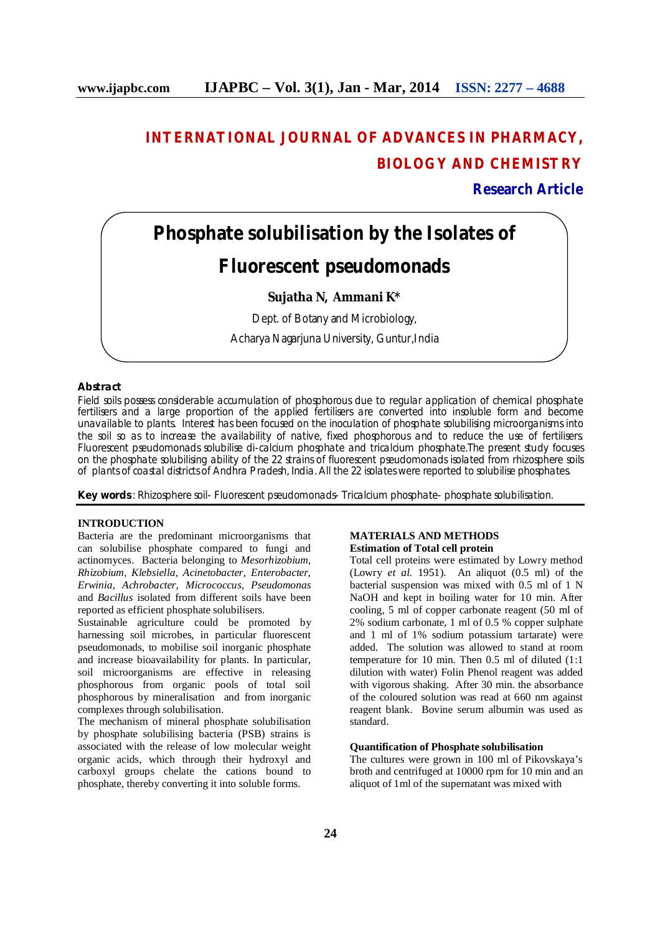# **INTERNATIONAL JOURNAL OF ADVANCES IN PHARMACY, BIOLOGY AND CHEMISTRY**

**Research Article**

# **Phosphate solubilisation by the Isolates of**

## **Fluorescent pseudomonads**

### **Sujatha N, Ammani K\***

Dept. of Botany and Microbiology,

Acharya Nagarjuna University, Guntur,India

### **Abstract**

Field soils possess considerable accumulation of phosphorous due to regular application of chemical phosphate fertilisers and a large proportion of the applied fertilisers are converted into insoluble form and become unavailable to plants. Interest has been focused on the inoculation of phosphate solubilising microorganisms into the soil so as to increase the availability of native, fixed phosphorous and to reduce the use of fertilisers. Fluorescent pseudomonads solubilise di-calcium phosphate and tricalcium phosphate.The present study focuses on the phosphate solubilising ability of the 22 strains of fluorescent pseudomonads isolated from rhizosphere soils of plants of coastal districts of Andhra Pradesh, India. All the 22 isolates were reported to solubilise phosphates.

**Key words** : Rhizosphere soil- Fluorescent pseudomonads- Tricalcium phosphate- phosphate solubilisation.

#### **INTRODUCTION**

Bacteria are the predominant microorganisms that can solubilise phosphate compared to fungi and actinomyces. Bacteria belonging to *Mesorhizobium*, *Rhizobium, Klebsiella, Acinetobacter, Enterobacter*, *Erwinia, Achrobacter, Micrococcus, Pseudomonas* and *Bacillus* isolated from different soils have been reported as efficient phosphate solubilisers.

Sustainable agriculture could be promoted by harnessing soil microbes, in particular fluorescent pseudomonads, to mobilise soil inorganic phosphate and increase bioavailability for plants. In particular, soil microorganisms are effective in releasing phosphorous from organic pools of total soil phosphorous by mineralisation and from inorganic complexes through solubilisation.

The mechanism of mineral phosphate solubilisation by phosphate solubilising bacteria (PSB) strains is associated with the release of low molecular weight organic acids, which through their hydroxyl and carboxyl groups chelate the cations bound to phosphate, thereby converting it into soluble forms.

#### **MATERIALS AND METHODS Estimation of Total cell protein**

Total cell proteins were estimated by Lowry method (Lowry *et al.* 1951). An aliquot (0.5 ml) of the bacterial suspension was mixed with 0.5 ml of 1 N NaOH and kept in boiling water for 10 min. After cooling, 5 ml of copper carbonate reagent (50 ml of 2% sodium carbonate, 1 ml of 0.5 % copper sulphate and 1 ml of 1% sodium potassium tartarate) were added. The solution was allowed to stand at room temperature for 10 min. Then 0.5 ml of diluted (1:1 dilution with water) Folin Phenol reagent was added with vigorous shaking. After 30 min. the absorbance of the coloured solution was read at 660 nm against reagent blank. Bovine serum albumin was used as standard.

#### **Quantification of Phosphate solubilisation**

The cultures were grown in 100 ml of Pikovskaya's broth and centrifuged at 10000 rpm for 10 min and an aliquot of 1ml of the supernatant was mixed with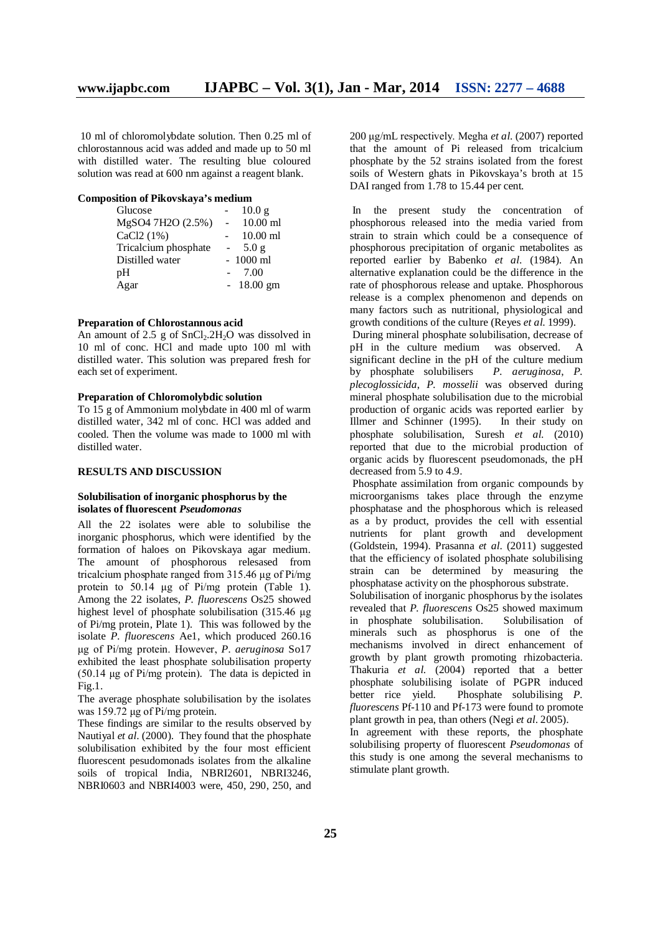10 ml of chloromolybdate solution. Then 0.25 ml of chlorostannous acid was added and made up to 50 ml with distilled water. The resulting blue coloured solution was read at 600 nm against a reagent blank.

#### **Composition of Pikovskaya's medium**

|                | 10.0 g      |
|----------------|-------------|
|                | $10.00$ ml  |
|                | $10.00$ ml  |
| $\blacksquare$ | 5.0g        |
|                | $-1000$ ml  |
|                | 7.00        |
|                | $-18.00$ gm |
|                |             |

#### **Preparation of Chlorostannous acid**

An amount of  $2.5$  g of  $SnCl<sub>2</sub>.2H<sub>2</sub>O$  was dissolved in 10 ml of conc. HCl and made upto 100 ml with distilled water. This solution was prepared fresh for each set of experiment.

#### **Preparation of Chloromolybdic solution**

To 15 g of Ammonium molybdate in 400 ml of warm distilled water, 342 ml of conc. HCl was added and cooled. Then the volume was made to 1000 ml with distilled water.

#### **RESULTS AND DISCUSSION**

#### **Solubilisation of inorganic phosphorus by the isolates of fluorescent** *Pseudomonas*

All the 22 isolates were able to solubilise the inorganic phosphorus, which were identified by the formation of haloes on Pikovskaya agar medium. The amount of phosphorous relesased from tricalcium phosphate ranged from 315.46 μg of Pi/mg protein to 50.14 μg of Pi/mg protein (Table 1). Among the 22 isolates, *P. fluorescens* Os25 showed highest level of phosphate solubilisation (315.46 μg of Pi/mg protein, Plate 1). This was followed by the isolate *P. fluorescens* Ae1, which produced 260.16 μg of Pi/mg protein. However, *P. aeruginosa* So17 exhibited the least phosphate solubilisation property (50.14 μg of Pi/mg protein). The data is depicted in Fig.1.

The average phosphate solubilisation by the isolates was 159.72 μg of Pi/mg protein.

These findings are similar to the results observed by Nautiyal *et al*. (2000). They found that the phosphate solubilisation exhibited by the four most efficient fluorescent pesudomonads isolates from the alkaline soils of tropical India, NBRI2601, NBRI3246, NBRI0603 and NBRI4003 were, 450, 290, 250, and

200 μg/mL respectively. Megha *et al*. (2007) reported that the amount of Pi released from tricalcium phosphate by the 52 strains isolated from the forest soils of Western ghats in Pikovskaya's broth at 15 DAI ranged from 1.78 to 15.44 per cent.

In the present study the concentration of phosphorous released into the media varied from strain to strain which could be a consequence of phosphorous precipitation of organic metabolites as reported earlier by Babenko *et al*. (1984). An alternative explanation could be the difference in the rate of phosphorous release and uptake. Phosphorous release is a complex phenomenon and depends on many factors such as nutritional, physiological and growth conditions of the culture (Reyes *et al*. 1999).

During mineral phosphate solubilisation, decrease of pH in the culture medium was observed. A significant decline in the pH of the culture medium by phosphate solubilisers *P. aeruginosa*, *P. plecoglossicida*, *P. mosselii* was observed during mineral phosphate solubilisation due to the microbial production of organic acids was reported earlier by Illmer and Schinner (1995). In their study on phosphate solubilisation, Suresh *et al*. (2010) reported that due to the microbial production of organic acids by fluorescent pseudomonads, the pH decreased from 5.9 to 4.9.

Phosphate assimilation from organic compounds by microorganisms takes place through the enzyme phosphatase and the phosphorous which is released as a by product, provides the cell with essential nutrients for plant growth and development (Goldstein, 1994). Prasanna *et al*. (2011) suggested that the efficiency of isolated phosphate solubilising strain can be determined by measuring the phosphatase activity on the phosphorous substrate.

Solubilisation of inorganic phosphorus by the isolates revealed that *P. fluorescens* Os25 showed maximum in phosphate solubilisation. Solubilisation of minerals such as phosphorus is one of the mechanisms involved in direct enhancement of growth by plant growth promoting rhizobacteria. Thakuria *et al*. (2004) reported that a better phosphate solubilising isolate of PGPR induced better rice yield. Phosphate solubilising *P. fluorescens* Pf-110 and Pf-173 were found to promote plant growth in pea, than others (Negi *et al*. 2005).

In agreement with these reports, the phosphate solubilising property of fluorescent *Pseudomonas* of this study is one among the several mechanisms to stimulate plant growth.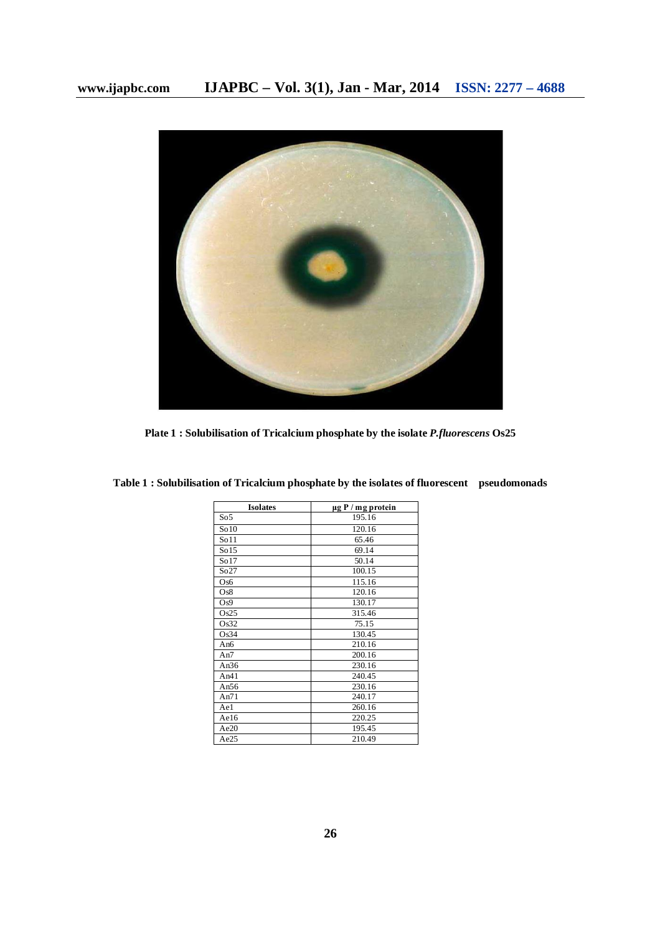

**Plate 1 : Solubilisation of Tricalcium phosphate by the isolate** *P.fluorescens* **Os25**

| <b>Isolates</b> | $\mu$ g P / mg protein |
|-----------------|------------------------|
| So <sub>5</sub> | 195.16                 |
| So10            | 120.16                 |
| So11            | 65.46                  |
| So15            | 69.14                  |
| So17            | 50.14                  |
| So27            | 100.15                 |
| Os6             | 115.16                 |
| Os8             | 120.16                 |
| Os9             | 130.17                 |
| Os25            | 315.46                 |
| Os32            | 75.15                  |
| Os34            | 130.45                 |
| An6             | 210.16                 |
| An7             | 200.16                 |
| An $36$         | 230.16                 |
| An $41$         | 240.45                 |
| An56            | 230.16                 |
| An $71$         | 240.17                 |
| Ae1             | 260.16                 |
| Ae16            | 220.25                 |
| Ae20            | 195.45                 |
| Ae25            | 210.49                 |

**Table 1 : Solubilisation of Tricalcium phosphate by the isolates of fluorescent pseudomonads**